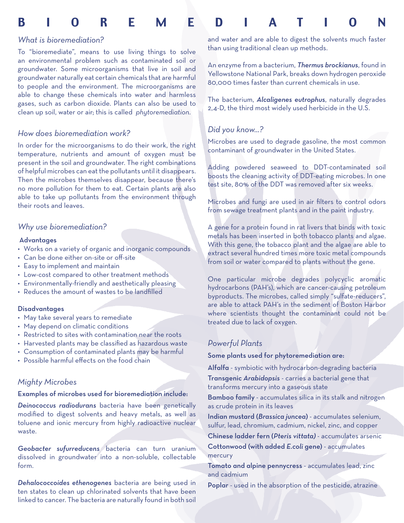# B i o r e m e d i a t i o n

# *What is bioremediation?*

To "bioremediate", means to use living things to solve an environmental problem such as contaminated soil or groundwater. Some microorganisms that live in soil and groundwater naturally eat certain chemicals that are harmful to people and the environment. The microorganisms are able to change these chemicals into water and harmless gases, such as carbon dioxide. Plants can also be used to clean up soil, water or air; this is called *phytoremediation*.

## *How does bioremediation work?*

In order for the microorganisms to do their work, the right temperature, nutrients and amount of oxygen must be present in the soil and groundwater. The right combinations of helpful microbes can eat the pollutants until it disappears. Then the microbes themselves disappear, because there's no more pollution for them to eat. Certain plants are also able to take up pollutants from the environment through their roots and leaves.

# *Why use bioremediation?*

#### Advantages

- Works on a variety of organic and inorganic compounds •
- Can be done either on-site or off-site •
- Easy to implement and maintain
- Low-cost compared to other treatment methods •
- Environmentally-friendly and aesthetically pleasing •
- Reduces the amount of wastes to be landfilled

#### **Disadvantages**

- May take several years to remediate
- May depend on climatic conditions
- Restricted to sites with contamination near the roots
- Harvested plants may be classified as hazardous waste
- Consumption of contaminated plants may be harmful •
- Possible harmful effects on the food chain •

## *Mighty Microbes*

#### Examples of microbes used for bioremediation include:

*Deinococcus radiodurans* bacteria have been genetically modified to digest solvents and heavy metals, as well as toluene and ionic mercury from highly radioactive nuclear waste.

*Geobacter sufurreducens* bacteria can turn uranium dissolved in groundwater into a non-soluble, collectable form.

*Dehalococcoides ethenogenes* bacteria are being used in ten states to clean up chlorinated solvents that have been linked to cancer. The bacteria are naturally found in both soil and water and are able to digest the solvents much faster than using traditional clean up methods.

An enzyme from a bacterium, *Thermus brockianus*, found in Yellowstone National Park, breaks down hydrogen peroxide 80,000 times faster than current chemicals in use.

The bacterium, *Alcaligenes eutrophus*, naturally degrades 2,4-D, the third most widely used herbicide in the U.S.

# *Did you know...?*

Microbes are used to degrade gasoline, the most common contaminant of groundwater in the United States.

Adding powdered seaweed to DDT-contaminated soil boosts the cleaning activity of DDT-eating microbes. In one test site, 80% of the DDT was removed after six weeks.

Microbes and fungi are used in air filters to control odors from sewage treatment plants and in the paint industry.

A gene for a protein found in rat livers that binds with toxic metals has been inserted in both tobacco plants and algae. With this gene, the tobacco plant and the algae are able to extract several hundred times more toxic metal compounds from soil or water compared to plants without the gene.

One particular microbe degrades polycyclic aromatic hydrocarbons (PAH's), which are cancer-causing petroleum byproducts. The microbes, called simply "sulfate-reducers", are able to attack PAH's in the sediment of Boston Harbor where scientists thought the contaminant could not be treated due to lack of oxygen.

## *Powerful Plants*

Some plants used for phytoremediation are:

Alfalfa - symbiotic with hydrocarbon-degrading bacteria Transgenic *Arabidopsis* - carries a bacterial gene that transforms mercury into a gaseous state

Bamboo family - accumulates silica in its stalk and nitrogen as crude protein in its leaves

Indian mustard (*Brassica juncea*) - accumulates selenium, sulfur, lead, chromium, cadmium, nickel, zinc, and copper

Chinese ladder fern (*Pteris vittata)* - accumulates arsenic Cottonwood (with added *E.coli* gene) - accumulates mercury

Tomato and alpine pennycress - accumulates lead, zinc and cadmium

Poplar - used in the absorption of the pesticide, atrazine